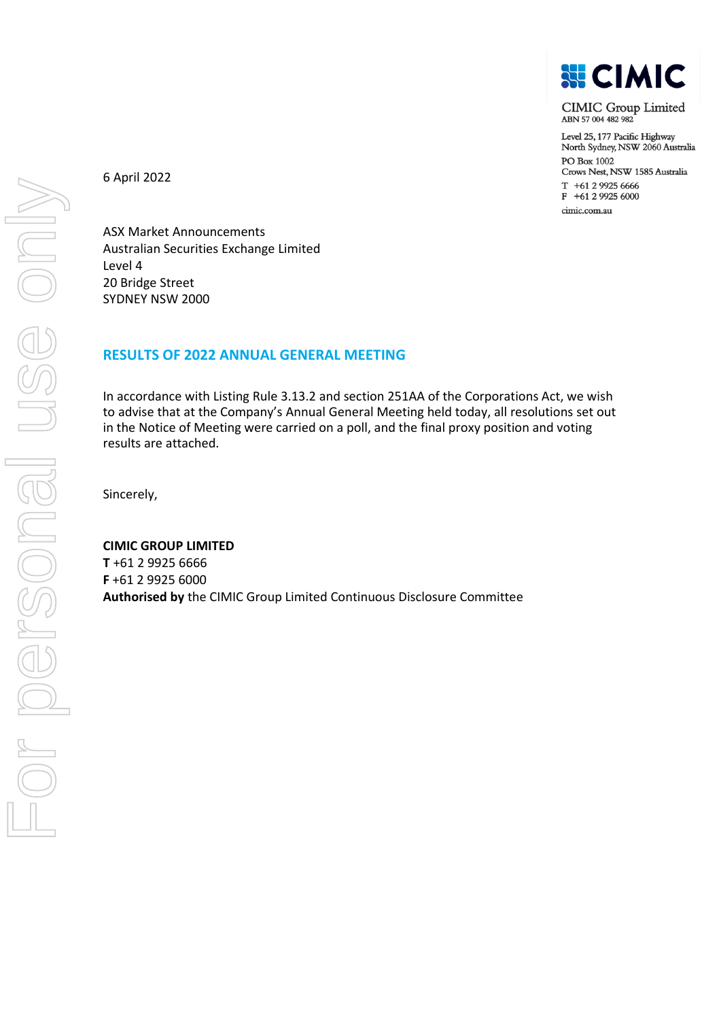

**CIMIC Group Limited** ABN 57004482982

Level 25, 177 Pacific Highway North Sydney, NSW 2060 Australia PO Box 1002 Crows Nest, NSW 1585 Australia  $T + 61299256666$ F +61 2 9925 6000 cimic.com.au

6 April 2022

ASX Market Announcements Australian Securities Exchange Limited Level 4 20 Bridge Street SYDNEY NSW 2000

## **RESULTS OF 2022 ANNUAL GENERAL MEETING**

In accordance with Listing Rule 3.13.2 and section 251AA of the Corporations Act, we wish to advise that at the Company's Annual General Meeting held today, all resolutions set out in the Notice of Meeting were carried on a poll, and the final proxy position and voting results are attached.

Sincerely,

## **CIMIC GROUP LIMITED**

**T** +61 2 9925 6666 **F** +61 2 9925 6000 **Authorised by** the CIMIC Group Limited Continuous Disclosure Committee